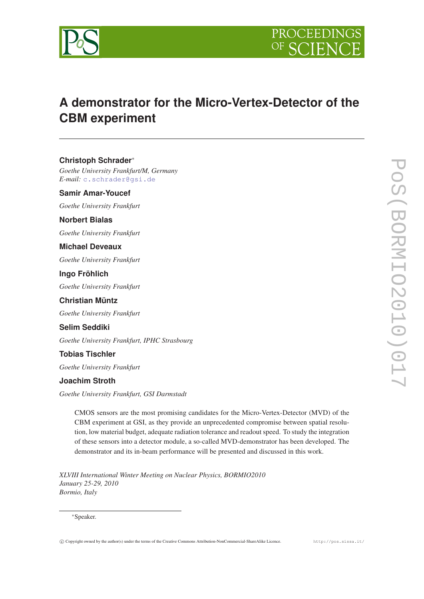



# **A demonstrator for the Micro-Vertex-Detector of the CBM experiment**

**Christoph Schrader**<sup>∗</sup> *Goethe University Frankfurt/M, Germany E-mail:* [c.schrader@gsi.de](mailto:c.schrader@gsi.de)

**Samir Amar-Youcef**

*Goethe University Frankfurt*

**Norbert Bialas**

*Goethe University Frankfurt*

**Michael Deveaux**

*Goethe University Frankfurt*

**Ingo Fröhlich**

*Goethe University Frankfurt*

**Christian Müntz** *Goethe University Frankfurt*

**Selim Seddiki** *Goethe University Frankfurt, IPHC Strasbourg*

**Tobias Tischler**

*Goethe University Frankfurt*

## **Joachim Stroth**

*Goethe University Frankfurt, GSI Darmstadt*

CMOS sensors are the most promising candidates for the Micro-Vertex-Detector (MVD) of the CBM experiment at GSI, as they provide an unprecedented compromise between spatial resolution, low material budget, adequate radiation tolerance and readout speed. To study the integration of these sensors into a detector module, a so-called MVD-demonstrator has been developed. The demonstrator and its in-beam performance will be presented and discussed in this work.

*XLVIII International Winter Meeting on Nuclear Physics, BORMIO2010 January 25-29, 2010 Bormio, Italy*

## <sup>∗</sup>Speaker.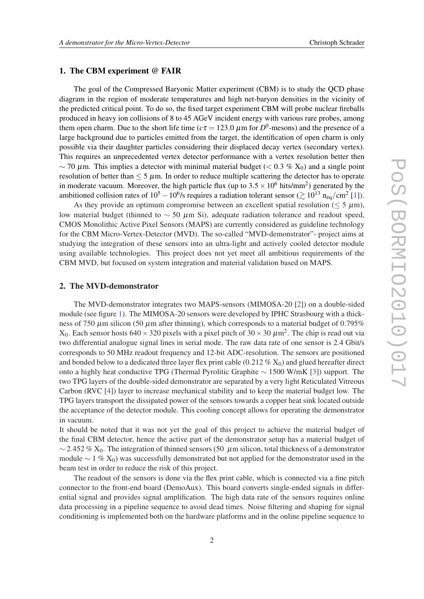## 1. The CBM experiment @ FAIR

The goal of the Compressed Baryonic Matter experiment (CBM) is to study the QCD phase diagram in the region of moderate temperatures and high net-baryon densities in the vicinity of the predicted critical point. To do so, the fixed target experiment CBM will probe nuclear fireballs produced in heavy ion collisions of 8 to 45 AGeV incident energy with various rare probes, among them open charm. Due to the short life time ( $c\tau = 123.0 \ \mu$ m for  $D^0$ -mesons) and the presence of a large background due to particles emitted from the target, the identification of open charm is only possible via their daughter particles considering their displaced decay vertex (secondary vertex). This requires an unprecedented vertex detector performance with a vertex resolution better then ~ 70  $\mu$ m. This implies a detector with minimal material budget (< 0.3 % X<sub>0</sub>) and a single point resolution of better than  $\leq 5 \mu$ m. In order to reduce multiple scattering the detector has to operate in moderate vacuum. Moreover, the high particle flux (up to  $3.5 \times 10^6$  hits/mm<sup>2</sup>) generated by the ambitioned collision rates of  $10^5 - 10^6$ /s requires a radiation tolerant sensor ( $\gtrsim 10^{13}$  n<sub>eq</sub>/cm<sup>2</sup> [\[1\]](#page-4-0)).

As they provide an optimum compromise between an excellent spatial resolution ( $\leq 5 \mu m$ ), low material budget (thinned to  $\sim$  50  $\mu$ m Si), adequate radiation tolerance and readout speed, CMOS Monolithic Active Pixel Sensors (MAPS) are currently considered as guideline technology for the CBM Micro-Vertex-Detector (MVD). The so-called "MVD-demonstrator"- project aims at studying the integration of these sensors into an ultra-light and actively cooled detector module using available technologies. This project does not yet meet all ambitious requirements of the CBM MVD, but focused on system integration and material validation based on MAPS.

## 2. The MVD-demonstrator

The MVD-demonstrator integrates two MAPS-sensors (MIMOSA-20 [\[2\]](#page-4-0)) on a double-sided module (see figure [1\)](#page-2-0). The MIMOSA-20 sensors were developed by IPHC Strasbourg with a thickness of 750  $\mu$ m silicon (50  $\mu$ m after thinning), which corresponds to a material budget of 0.795%  $X_0$ . Each sensor hosts 640  $\times$  320 pixels with a pixel pitch of 30  $\times$  30  $\mu$ m<sup>2</sup>. The chip is read out via two differential analogue signal lines in serial mode. The raw data rate of one sensor is 2.4 Gbit/s corresponds to 50 MHz readout frequency and 12-bit ADC-resolution. The sensors are positioned and bonded below to a dedicated three layer flex print cable  $(0.212\% X_0)$  and glued hereafter direct onto a highly heat conductive TPG (Thermal Pyrolitic Graphite ∼ 1500 W/mK [[3](#page-4-0)]) support. The two TPG layers of the double-sided demonstrator are separated by a very light Reticulated Vitreous Carbon (RVC [\[4\]](#page-4-0)) layer to increase mechanical stability and to keep the material budget low. The TPG layers transport the dissipated power of the sensors towards a copper heat sink located outside the acceptance of the detector module. This cooling concept allows for operating the demonstrator in vacuum.

It should be noted that it was not yet the goal of this project to achieve the material budget of the final CBM detector, hence the active part of the demonstrator setup has a material budget of  $\sim$  2.452 % X<sub>0</sub>. The integration of thinned sensors (50 µm silicon, total thickness of a demonstrator module  $\sim$  1 % X<sub>0</sub>) was successfully demonstrated but not applied for the demonstrator used in the beam test in order to reduce the risk of this project.

The readout of the sensors is done via the flex print cable, which is connected via a fine pitch connector to the front-end board (DemoAux). This board converts single-ended signals in differential signal and provides signal amplification. The high data rate of the sensors requires online data processing in a pipeline sequence to avoid dead times. Noise filtering and shaping for signal conditioning is implemented both on the hardware platforms and in the online pipeline sequence to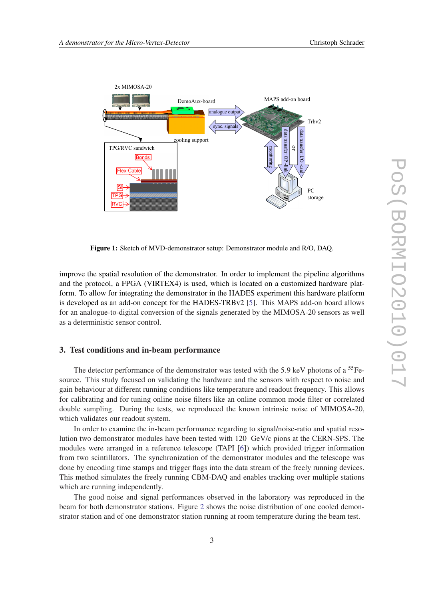<span id="page-2-0"></span>

Figure 1: Sketch of MVD-demonstrator setup: Demonstrator module and R/O, DAQ.

improve the spatial resolution of the demonstrator. In order to implement the pipeline algorithms and the protocol, a FPGA (VIRTEX4) is used, which is located on a customized hardware platform. To allow for integrating the demonstrator in the HADES experiment this hardware platform is developed as an add-on concept for the HADES-TRBv2 [[5](#page-4-0)]. This MAPS add-on board allows for an analogue-to-digital conversion of the signals generated by the MIMOSA-20 sensors as well as a deterministic sensor control.

## 3. Test conditions and in-beam performance

The detector performance of the demonstrator was tested with the 5.9 keV photons of a  ${}^{55}Fe$ source. This study focused on validating the hardware and the sensors with respect to noise and gain behaviour at different running conditions like temperature and readout frequency. This allows for calibrating and for tuning online noise filters like an online common mode filter or correlated double sampling. During the tests, we reproduced the known intrinsic noise of MIMOSA-20, which validates our readout system.

In order to examine the in-beam performance regarding to signal/noise-ratio and spatial resolution two demonstrator modules have been tested with 120 GeV/c pions at the CERN-SPS. The modules were arranged in a reference telescope (TAPI [\[6\]](#page-4-0)) which provided trigger information from two scintillators. The synchronization of the demonstrator modules and the telescope was done by encoding time stamps and trigger flags into the data stream of the freely running devices. This method simulates the freely running CBM-DAQ and enables tracking over multiple stations which are running independently.

The good noise and signal performances observed in the laboratory was reproduced in the beam for both demonstrator stations. Figure [2](#page-3-0) shows the noise distribution of one cooled demonstrator station and of one demonstrator station running at room temperature during the beam test.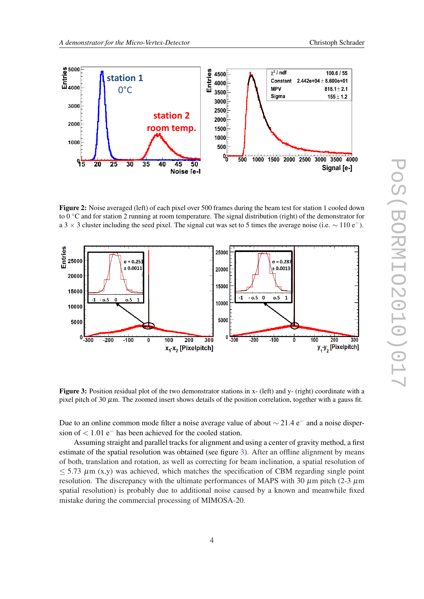<span id="page-3-0"></span>

Figure 2: Noise averaged (left) of each pixel over 500 frames during the beam test for station 1 cooled down to 0  $\degree$ C and for station 2 running at room temperature. The signal distribution (right) of the demonstrator for a 3  $\times$  3 cluster including the seed pixel. The signal cut was set to 5 times the average noise (i.e.  $\sim$  110 e<sup>−</sup>).



Figure 3: Position residual plot of the two demonstrator stations in x- (left) and y- (right) coordinate with a pixel pitch of 30  $\mu$ m. The zoomed insert shows details of the position correlation, together with a gauss fit.

Due to an online common mode filter a noise average value of about  $\sim$  21.4 e<sup>−</sup> and a noise dispersion of  $< 1.01$  e<sup>-</sup> has been achieved for the cooled station.

Assuming straight and parallel tracks for alignment and using a center of gravity method, a first estimate of the spatial resolution was obtained (see figure 3). After an offline alignment by means of both, translation and rotation, as well as correcting for beam inclination, a spatial resolution of  $\leq$  5.73  $\mu$ m (x,y) was achieved, which matches the specification of CBM regarding single point resolution. The discrepancy with the ultimate performances of MAPS with 30  $\mu$ m pitch (2-3  $\mu$ m spatial resolution) is probably due to additional noise caused by a known and meanwhile fixed mistake during the commercial processing of MIMOSA-20.